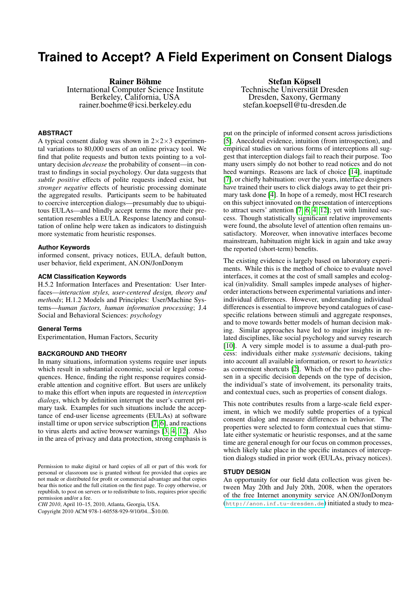# **Trained to Accept? A Field Experiment on Consent Dialogs**

Rainer Böhme International Computer Science Institute Berkeley, California, USA rainer.boehme@icsi.berkeley.edu

# **ABSTRACT**

A typical consent dialog was shown in  $2 \times 2 \times 3$  experimental variations to 80,000 users of an online privacy tool. We find that polite requests and button texts pointing to a voluntary decision *decrease* the probability of consent—in contrast to findings in social psychology. Our data suggests that *subtle positive* effects of polite requests indeed exist, but *stronger negative* effects of heuristic processing dominate the aggregated results. Participants seem to be habituated to coercive interception dialogs—presumably due to ubiquitous EULAs—and blindly accept terms the more their presentation resembles a EULA. Response latency and consultation of online help were taken as indicators to distinguish more systematic from heuristic responses.

#### **Author Keywords**

informed consent, privacy notices, EULA, default button, user behavior, field experiment, AN.ON/JonDonym

## **ACM Classification Keywords**

H.5.2 Information Interfaces and Presentation: User Interfaces—*interaction styles, user-centered design, theory and methods*; H.1.2 Models and Principles: User/Machine Systems—*human factors, human information processing*; J.4 Social and Behavioral Sciences: *psychology*

#### **General Terms**

Experimentation, Human Factors, Security

## **BACKGROUND AND THEORY**

In many situations, information systems require user inputs which result in substantial economic, social or legal consequences. Hence, finding the right response requires considerable attention and cognitive effort. But users are unlikely to make this effort when inputs are requested in *interception dialogs*, which by definition interrupt the user's current primary task. Examples for such situations include the acceptance of end-user license agreements (EULAs) at software install time or upon service subscription [\[7,](#page-3-0) [6\]](#page-3-1), and reactions to virus alerts and active browser warnings [\[3,](#page-3-2) [4,](#page-3-3) [12\]](#page-3-4). Also in the area of privacy and data protection, strong emphasis is

Copyright 2010 ACM 978-1-60558-929-9/10/04...\$10.00.

Stefan Köpsell Technische Universität Dresden Dresden, Saxony, Germany stefan.koepsell@tu-dresden.de

put on the principle of informed consent across jurisdictions [\[5\]](#page-3-5). Anecdotal evidence, intuition (from introspection), and empirical studies on various forms of interceptions all suggest that interception dialogs fail to reach their purpose. Too many users simply do not bother to read notices and do not heed warnings. Reasons are lack of choice [\[14\]](#page-3-6), inaptitude [\[7\]](#page-3-0), or chiefly habituation: over the years, interface designers have trained their users to click dialogs away to get their primary task done [\[4\]](#page-3-3). In hope of a remedy, most HCI research on this subject innovated on the presentation of interceptions to attract users' attention [\[7,](#page-3-0) [6,](#page-3-1) [4,](#page-3-3) [12\]](#page-3-4); yet with limited success. Though statistically significant relative improvements were found, the absolute level of attention often remains unsatisfactory. Moreover, when innovative interfaces become mainstream, habituation might kick in again and take away the reported (short-term) benefits.

The existing evidence is largely based on laboratory experiments. While this is the method of choice to evaluate novel interfaces, it comes at the cost of small samples and ecological (in)validity. Small samples impede analyses of higherorder interactions between experimental variations and interindividual differences. However, understanding individual differences is essential to improve beyond catalogues of casespecific relations between stimuli and aggregate responses, and to move towards better models of human decision making. Similar approaches have led to major insights in related disciplines, like social psychology and survey research [\[10\]](#page-3-7). A very simple model is to assume a dual-path process: individuals either make *systematic* decisions, taking into account all available information, or resort to *heuristics* as convenient shortcuts [\[2\]](#page-3-8). Which of the two paths is chosen in a specific decision depends on the type of decision, the individual's state of involvement, its personality traits, and contextual cues, such as properties of consent dialogs.

This note contributes results from a large-scale field experiment, in which we modify subtle properties of a typical consent dialog and measure differences in behavior. The properties were selected to form contextual cues that stimulate either systematic or heuristic responses, and at the same time are general enough for our focus on common processes, which likely take place in the specific instances of interception dialogs studied in prior work (EULAs, privacy notices).

#### **STUDY DESIGN**

An opportunity for our field data collection was given between May 20th and July 20th, 2008, when the operators of the free Internet anonymity service AN.ON/JonDonym (<http://anon.inf.tu-dresden.de>) initiated a study to mea-

Permission to make digital or hard copies of all or part of this work for personal or classroom use is granted without fee provided that copies are not made or distributed for profit or commercial advantage and that copies bear this notice and the full citation on the first page. To copy otherwise, or republish, to post on servers or to redistribute to lists, requires prior specific permission and/or a fee.

*CHI 2010*, April 10–15, 2010, Atlanta, Georgia, USA.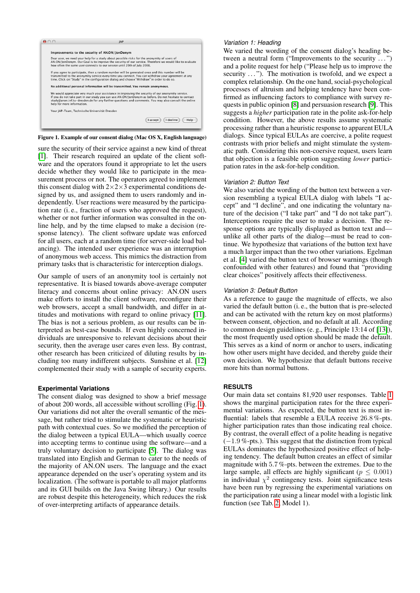

<span id="page-1-0"></span>

sure the security of their service against a new kind of threat [\[1\]](#page-3-9). Their research required an update of the client software and the operators found it appropriate to let the users decide whether they would like to participate in the measurement process or not. The operators agreed to implement this consent dialog with  $2 \times 2 \times 3$  experimental conditions designed by us, and assigned them to users randomly and independently. User reactions were measured by the participation rate (i. e., fraction of users who approved the request), whether or not further information was consulted in the online help, and by the time elapsed to make a decision (response latency). The client software update was enforced for all users, each at a random time (for server-side load balancing). The intended user experience was an interruption of anonymous web access. This mimics the distraction from primary tasks that is characteristic for interception dialogs.

Our sample of users of an anonymity tool is certainly not representative. It is biased towards above-average computer literacy and concerns about online privacy: AN.ON users make efforts to install the client software, reconfigure their web browsers, accept a small bandwidth, and differ in attitudes and motivations with regard to online privacy [\[11\]](#page-3-10). The bias is not a serious problem, as our results can be interpreted as best-case bounds. If even highly concerned individuals are unresponsive to relevant decisions about their security, then the average user cares even less. By contrast, other research has been criticized of diluting results by including too many indifferent subjects. Sunshine et al. [\[12\]](#page-3-4) complemented their study with a sample of security experts.

# **Experimental Variations**

The consent dialog was designed to show a brief message of about 200 words, all accessible without scrolling (Fig. [1\)](#page-1-0). Our variations did not alter the overall semantic of the message, but rather tried to stimulate the systematic or heuristic path with contextual cues. So we modified the perception of the dialog between a typical EULA—which usually coerce into accepting terms to continue using the software—and a truly voluntary decision to participate [\[5\]](#page-3-5). The dialog was translated into English and German to cater to the needs of the majority of AN.ON users. The language and the exact appearance depended on the user's operating system and its localization. (The software is portable to all major platforms and its GUI builds on the Java Swing library.) Our results are robust despite this heterogeneity, which reduces the risk of over-interpreting artifacts of appearance details.

## *Variation 1: Heading*

We varied the wording of the consent dialog's heading between a neutral form ("Improvements to the security ...") and a polite request for help ("Please help us to improve the security ..."). The motivation is twofold, and we expect a complex relationship. On the one hand, social-psychological processes of altruism and helping tendency have been confirmed as influencing factors to compliance with survey requests in public opinion [\[8\]](#page-3-11) and persuasion research [\[9\]](#page-3-12). This suggests a *higher* participation rate in the polite ask-for-help condition. However, the above results assume systematic processing rather than a heuristic response to apparent EULA dialogs. Since typical EULAs are coercive, a polite request contrasts with prior beliefs and might stimulate the systematic path. Considering this non-coersive request, users learn that objection is a feasible option suggesting *lower* participation rates in the ask-for-help condition.

## *Variation 2: Button Text*

We also varied the wording of the button text between a version resembling a typical EULA dialog with labels "I accept" and "I decline", and one indicating the voluntary nature of the decision ("I take part" and "I do not take part"). Interceptions require the user to make a decision. The response options are typically displayed as button text and unlike all other parts of the dialog—must be read to continue. We hypothesize that variations of the button text have a much larger impact than the two other variations. Egelman et al. [\[4\]](#page-3-3) varied the button text of browser warnings (though confounded with other features) and found that "providing clear choices" positively affects their effectiveness.

# *Variation 3: Default Button*

As a reference to gauge the magnitude of effects, we also varied the default button (i. e., the button that is pre-selected and can be activated with the return key on most platforms) between consent, objection, and no default at all. According to common design guidelines (e. g., Principle 13:14 of [\[13\]](#page-3-13)), the most frequently used option should be made the default. This serves as a kind of norm or anchor to users, indicating how other users might have decided, and thereby guide their own decision. We hypothesize that default buttons receive more hits than normal buttons.

# **RESULTS**

Our main data set contains 81,920 user responses. Table [1](#page-2-0) shows the marginal participation rates for the three experimental variations. As expected, the button text is most influential: labels that resemble a EULA receive 26.8 %-pts. higher participation rates than those indicating real choice. By contrast, the overall effect of a polite heading is negative (−1.9 %-pts.). This suggest that the distinction from typical EULAs dominates the hypothesized positive effect of helping tendency. The default button creates an effect of similar magnitude with 5.7 %-pts. between the extremes. Due to the large sample, all effects are highly significant ( $p \leq 0.001$ ) in individual  $\chi^2$  contingency tests. Joint significance tests have been run by regressing the experimental variations on the participation rate using a linear model with a logistic link function (see Tab. [2,](#page-2-1) Model 1).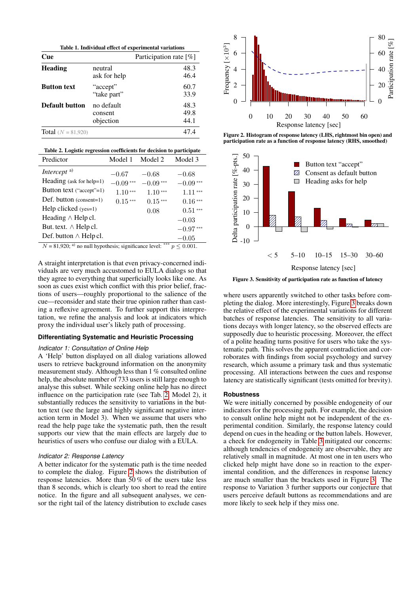<span id="page-2-0"></span>

| Table 1. Individual effect of experimental variations |                                    |                           |  |  |
|-------------------------------------------------------|------------------------------------|---------------------------|--|--|
| Cue                                                   |                                    | Participation rate $[\%]$ |  |  |
| <b>Heading</b>                                        | neutral<br>ask for help            | 48.3<br>46.4              |  |  |
| <b>Button text</b>                                    | "accept"<br>"take part"            | 60.7<br>33.9              |  |  |
| <b>Default button</b>                                 | no default<br>consent<br>objection | 48.3<br>49.8<br>44.1      |  |  |
| <b>Total</b> ( $N = 81,920$ )                         |                                    | 47 4                      |  |  |

<span id="page-2-1"></span>

| Table 2. Logistic regression coefficients for decision to participate |  |  |  |
|-----------------------------------------------------------------------|--|--|--|
|                                                                       |  |  |  |

| Predictor                     | Model 1       | Model 2    | Model 3       |
|-------------------------------|---------------|------------|---------------|
| Intercept <sup>a)</sup>       | $-0.67$       | $-0.68$    | $-0.68$       |
| Heading (ask for help=1)      | $-0.09***$    | $-0.09***$ | $-0.09***$    |
| Button text ("accept"=1)      | 1.10<br>$***$ | $1.10***$  | 1.11<br>$***$ |
| Def. button (consent=1)       | $0.15***$     | $0.15***$  | $0.16***$     |
| Help clicked $(yes=1)$        |               | 0.08       | $0.51***$     |
| Heading $\wedge$ Help cl.     |               |            | $-0.03$       |
| But. text. $\wedge$ Help cl.  |               |            | $-0.97***$    |
| Def. button $\wedge$ Help cl. |               |            | $-0.05$       |
| av araza al                   |               | ***<br>.   |               |

 $N = 81,920$ ; <sup>a)</sup> no null hypothesis; significance level: \*\*\*  $p \le 0.001$ .

A straight interpretation is that even privacy-concerned individuals are very much accustomed to EULA dialogs so that they agree to everything that superficially looks like one. As soon as cues exist which conflict with this prior belief, fractions of users—roughly proportional to the salience of the cue—reconsider and state their true opinion rather than casting a reflexive agreement. To further support this interpretation, we refine the analysis and look at indicators which proxy the individual user's likely path of processing.

# **Differentiating Systematic and Heuristic Processing**

#### *Indicator 1: Consultation of Online Help*

A 'Help' button displayed on all dialog variations allowed users to retrieve background information on the anonymity measurement study. Although less than 1 % consulted online help, the absolute number of 733 users is still large enough to analyse this subset. While seeking online help has no direct influence on the participation rate (see Tab. [2,](#page-2-1) Model 2), it substantially reduces the sensitivity to variations in the button text (see the large and highly significant negative interaction term in Model 3). When we assume that users who read the help page take the systematic path, then the result supports our view that the main effects are largely due to heuristics of users who confuse our dialog with a EULA.

### *Indicator 2: Response Latency*

A better indicator for the systematic path is the time needed to complete the dialog. Figure [2](#page-2-2) shows the distribution of response latencies. More than 50 % of the users take less than 8 seconds, which is clearly too short to read the entire notice. In the figure and all subsequent analyses, we censor the right tail of the latency distribution to exclude cases



<span id="page-2-2"></span>Figure 2. Histogram of response latency (LHS, rightmost bin open) and participation rate as a function of response latency (RHS, smoothed)



<span id="page-2-3"></span>Figure 3. Sensitivity of participation rate as function of latency

where users apparently switched to other tasks before completing the dialog. More interestingly, Figure [3](#page-2-3) breaks down the relative effect of the experimental variations for different batches of response latencies. The sensitivity to all variations decays with longer latency, so the observed effects are supposedly due to heuristic processing. Moreover, the effect of a polite heading turns positive for users who take the systematic path. This solves the apparent contradiction and corroborates with findings from social psychology and survey research, which assume a primary task and thus systematic processing. All interactions between the cues and response latency are statistically significant (tests omitted for brevity).

#### **Robustness**

We were initially concerned by possible endogeneity of our indicators for the processing path. For example, the decision to consult online help might not be independent of the experimental condition. Similarly, the response latency could depend on cues in the heading or the button labels. However, a check for endogeneity in Table [3](#page-3-14) mitigated our concerns: although tendencies of endogeneity are observable, they are relatively small in magnitude. At most one in ten users who clicked help might have done so in reaction to the experimental condition, and the differences in response latency are much smaller than the brackets used in Figure [3.](#page-2-3) The response to Variation 3 further supports our conjecture that users perceive default buttons as recommendations and are more likely to seek help if they miss one.